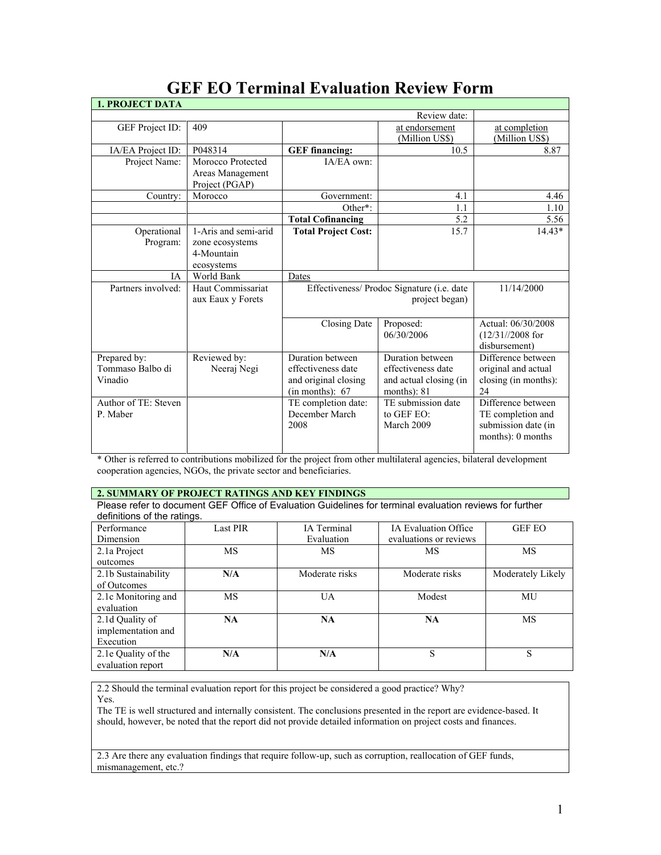| <b>1. PROJECT DATA</b>                      |                                                                     |                                                                                   |                                                                                 |                                                                                     |
|---------------------------------------------|---------------------------------------------------------------------|-----------------------------------------------------------------------------------|---------------------------------------------------------------------------------|-------------------------------------------------------------------------------------|
|                                             |                                                                     |                                                                                   | Review date:                                                                    |                                                                                     |
| GEF Project ID:                             | 409                                                                 |                                                                                   | at endorsement<br>(Million US\$)                                                | at completion<br>(Million US\$)                                                     |
| IA/EA Project ID:                           | P048314                                                             | <b>GEF</b> financing:                                                             | 10.5                                                                            | 8.87                                                                                |
| Project Name:                               | Morocco Protected<br>Areas Management<br>Project (PGAP)             | IA/EA own:                                                                        |                                                                                 |                                                                                     |
| Country:                                    | Morocco                                                             | Government:                                                                       | 4.1                                                                             | 4.46                                                                                |
|                                             |                                                                     | Other*:                                                                           | 1.1                                                                             | 1.10                                                                                |
|                                             |                                                                     | <b>Total Cofinancing</b>                                                          | 5.2                                                                             | 5.56                                                                                |
| Operational<br>Program:                     | 1-Aris and semi-arid<br>zone ecosystems<br>4-Mountain<br>ecosystems | <b>Total Project Cost:</b>                                                        | 15.7                                                                            | $14.43*$                                                                            |
| <b>IA</b>                                   | World Bank                                                          | Dates                                                                             |                                                                                 |                                                                                     |
| Partners involved:                          | Haut Commissariat<br>aux Eaux y Forets                              | Effectiveness/ Prodoc Signature (i.e. date                                        | 11/14/2000                                                                      |                                                                                     |
|                                             |                                                                     | Closing Date                                                                      | Proposed:<br>06/30/2006                                                         | Actual: 06/30/2008<br>$(12/31)/2008$ for<br>disbursement)                           |
| Prepared by:<br>Tommaso Balbo di<br>Vinadio | Reviewed by:<br>Neeraj Negi                                         | Duration between<br>effectiveness date<br>and original closing<br>(in months): 67 | Duration between<br>effectiveness date<br>and actual closing (in<br>months): 81 | Difference between<br>original and actual<br>closing (in months):<br>24             |
| Author of TE: Steven<br>P. Maber            |                                                                     | TE completion date:<br>December March<br>2008                                     | TE submission date<br>to GEF EO:<br>March 2009                                  | Difference between<br>TE completion and<br>submission date (in<br>months): 0 months |

# **GEF EO Terminal Evaluation Review Form**

\* Other is referred to contributions mobilized for the project from other multilateral agencies, bilateral development cooperation agencies, NGOs, the private sector and beneficiaries.

# **2. SUMMARY OF PROJECT RATINGS AND KEY FINDINGS**

Please refer to document GEF Office of Evaluation Guidelines for terminal evaluation reviews for further definitions of the ratings.

| Performance         | <b>Last PIR</b> | <b>IA</b> Terminal | <b>IA Evaluation Office</b> | <b>GEF EO</b>     |
|---------------------|-----------------|--------------------|-----------------------------|-------------------|
| Dimension           |                 | Evaluation         | evaluations or reviews      |                   |
| 2.1a Project        | <b>MS</b>       | MS                 | MS                          | <b>MS</b>         |
| outcomes            |                 |                    |                             |                   |
| 2.1b Sustainability | N/A             | Moderate risks     | Moderate risks              | Moderately Likely |
| of Outcomes         |                 |                    |                             |                   |
| 2.1c Monitoring and | MS              | <b>UA</b>          | Modest                      | MU                |
| evaluation          |                 |                    |                             |                   |
| 2.1d Quality of     | <b>NA</b>       | NA                 | NA                          | <b>MS</b>         |
| implementation and  |                 |                    |                             |                   |
| Execution           |                 |                    |                             |                   |
| 2.1e Quality of the | N/A             | N/A                | S                           | S                 |
| evaluation report   |                 |                    |                             |                   |

2.2 Should the terminal evaluation report for this project be considered a good practice? Why? Yes.

The TE is well structured and internally consistent. The conclusions presented in the report are evidence-based. It should, however, be noted that the report did not provide detailed information on project costs and finances.

2.3 Are there any evaluation findings that require follow-up, such as corruption, reallocation of GEF funds, mismanagement, etc.?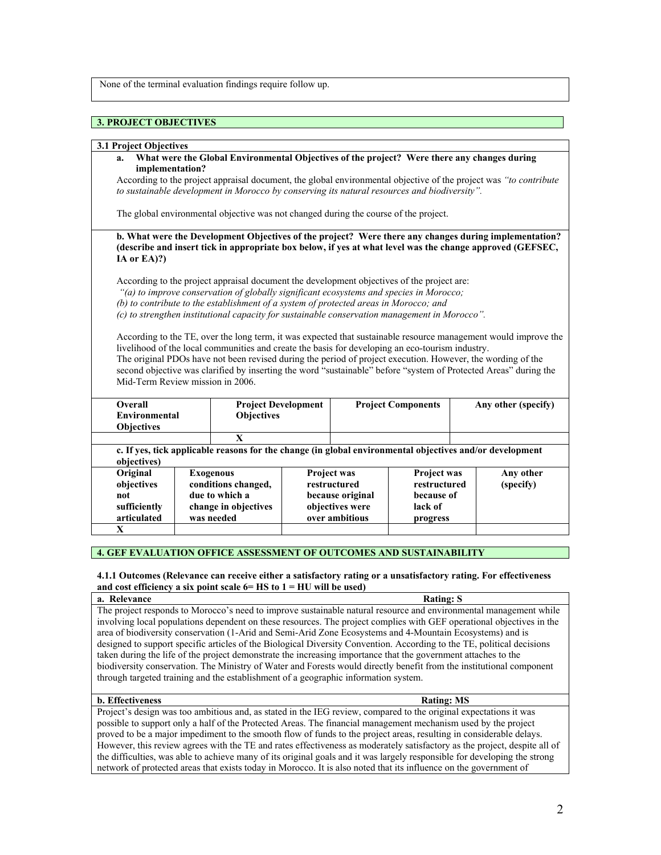None of the terminal evaluation findings require follow up.

# **3. PROJECT OBJECTIVES**

### **3.1 Project Objectives**

**a. What were the Global Environmental Objectives of the project? Were there any changes during implementation?** 

According to the project appraisal document, the global environmental objective of the project was *"to contribute to sustainable development in Morocco by conserving its natural resources and biodiversity".*

The global environmental objective was not changed during the course of the project.

**b. What were the Development Objectives of the project? Were there any changes during implementation? (describe and insert tick in appropriate box below, if yes at what level was the change approved (GEFSEC, IA or EA)?)**

According to the project appraisal document the development objectives of the project are: *"(a) to improve conservation of globally significant ecosystems and species in Morocco; (b) to contribute to the establishment of a system of protected areas in Morocco; and (c) to strengthen institutional capacity for sustainable conservation management in Morocco".*

According to the TE, over the long term, it was expected that sustainable resource management would improve the livelihood of the local communities and create the basis for developing an eco-tourism industry. The original PDOs have not been revised during the period of project execution. However, the wording of the second objective was clarified by inserting the word "sustainable" before "system of Protected Areas" during the Mid-Term Review mission in 2006.

| Overall<br><b>Objectives</b>                                 | <b>Objectives</b><br>Environmental                                                                       |                                                                                                 | <b>Project Development</b><br><b>Project Components</b> |                                                                                             |                                                                         |  | Any other (specify)    |
|--------------------------------------------------------------|----------------------------------------------------------------------------------------------------------|-------------------------------------------------------------------------------------------------|---------------------------------------------------------|---------------------------------------------------------------------------------------------|-------------------------------------------------------------------------|--|------------------------|
|                                                              |                                                                                                          | X                                                                                               |                                                         |                                                                                             |                                                                         |  |                        |
| objectives)                                                  | c. If yes, tick applicable reasons for the change (in global environmental objectives and/or development |                                                                                                 |                                                         |                                                                                             |                                                                         |  |                        |
| Original<br>objectives<br>not<br>sufficiently<br>articulated |                                                                                                          | <b>Exogenous</b><br>conditions changed,<br>due to which a<br>change in objectives<br>was needed |                                                         | <b>Project was</b><br>restructured<br>because original<br>objectives were<br>over ambitious | <b>Project was</b><br>restructured<br>because of<br>lack of<br>progress |  | Any other<br>(specify) |
| X                                                            |                                                                                                          |                                                                                                 |                                                         |                                                                                             |                                                                         |  |                        |

### **4. GEF EVALUATION OFFICE ASSESSMENT OF OUTCOMES AND SUSTAINABILITY**

### **4.1.1 Outcomes (Relevance can receive either a satisfactory rating or a unsatisfactory rating. For effectiveness and cost efficiency a six point scale 6= HS to 1 = HU will be used)**

**a.** Relevance Rating: S The project responds to Morocco's need to improve sustainable natural resource and environmental management while involving local populations dependent on these resources. The project complies with GEF operational objectives in the area of biodiversity conservation (1-Arid and Semi-Arid Zone Ecosystems and 4-Mountain Ecosystems) and is designed to support specific articles of the Biological Diversity Convention. According to the TE, political decisions taken during the life of the project demonstrate the increasing importance that the government attaches to the biodiversity conservation. The Ministry of Water and Forests would directly benefit from the institutional component through targeted training and the establishment of a geographic information system.

#### **b. Effectiveness Rating: MS**

Project's design was too ambitious and, as stated in the IEG review, compared to the original expectations it was possible to support only a half of the Protected Areas. The financial management mechanism used by the project proved to be a major impediment to the smooth flow of funds to the project areas, resulting in considerable delays. However, this review agrees with the TE and rates effectiveness as moderately satisfactory as the project, despite all of the difficulties, was able to achieve many of its original goals and it was largely responsible for developing the strong network of protected areas that exists today in Morocco. It is also noted that its influence on the government of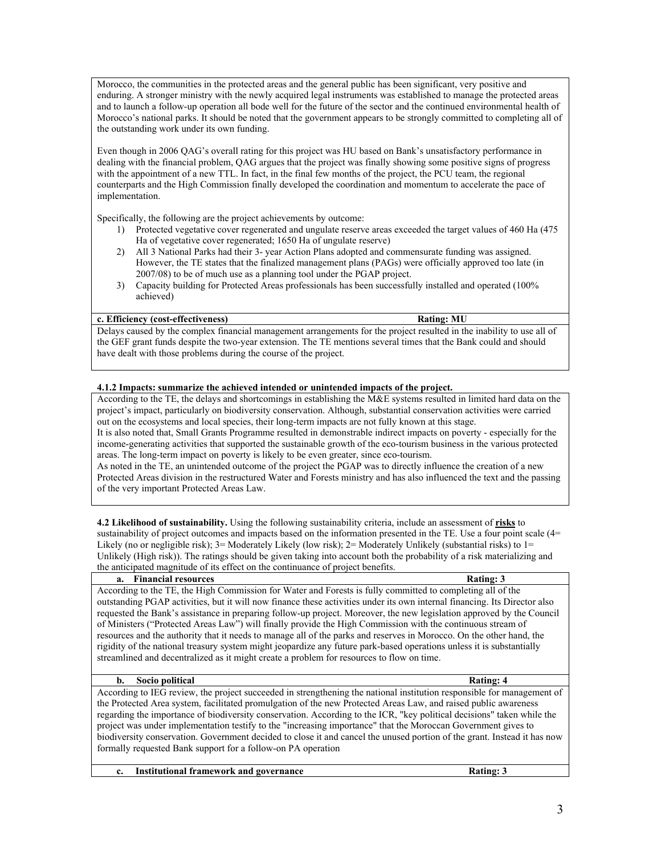Morocco, the communities in the protected areas and the general public has been significant, very positive and enduring. A stronger ministry with the newly acquired legal instruments was established to manage the protected areas and to launch a follow-up operation all bode well for the future of the sector and the continued environmental health of Morocco's national parks. It should be noted that the government appears to be strongly committed to completing all of the outstanding work under its own funding.

Even though in 2006 QAG's overall rating for this project was HU based on Bank's unsatisfactory performance in dealing with the financial problem, QAG argues that the project was finally showing some positive signs of progress with the appointment of a new TTL. In fact, in the final few months of the project, the PCU team, the regional counterparts and the High Commission finally developed the coordination and momentum to accelerate the pace of implementation.

Specifically, the following are the project achievements by outcome:

- 1) Protected vegetative cover regenerated and ungulate reserve areas exceeded the target values of 460 Ha (475 Ha of vegetative cover regenerated; 1650 Ha of ungulate reserve)
- 2) All 3 National Parks had their 3- year Action Plans adopted and commensurate funding was assigned. However, the TE states that the finalized management plans (PAGs) were officially approved too late (in 2007/08) to be of much use as a planning tool under the PGAP project.
- 3) Capacity building for Protected Areas professionals has been successfully installed and operated (100% achieved)

### **c. Efficiency (cost-effectiveness) Rating: MU**

Delays caused by the complex financial management arrangements for the project resulted in the inability to use all of the GEF grant funds despite the two-year extension. The TE mentions several times that the Bank could and should have dealt with those problems during the course of the project.

### **4.1.2 Impacts: summarize the achieved intended or unintended impacts of the project.**

According to the TE, the delays and shortcomings in establishing the M&E systems resulted in limited hard data on the project's impact, particularly on biodiversity conservation. Although, substantial conservation activities were carried out on the ecosystems and local species, their long-term impacts are not fully known at this stage. It is also noted that, Small Grants Programme resulted in demonstrable indirect impacts on poverty - especially for the income-generating activities that supported the sustainable growth of the eco-tourism business in the various protected areas. The long-term impact on poverty is likely to be even greater, since eco-tourism.

As noted in the TE, an unintended outcome of the project the PGAP was to directly influence the creation of a new Protected Areas division in the restructured Water and Forests ministry and has also influenced the text and the passing of the very important Protected Areas Law.

**4.2 Likelihood of sustainability.** Using the following sustainability criteria, include an assessment of **risks** to sustainability of project outcomes and impacts based on the information presented in the TE. Use a four point scale (4= Likely (no or negligible risk);  $3=$  Moderately Likely (low risk);  $2=$  Moderately Unlikely (substantial risks) to  $1=$ Unlikely (High risk)). The ratings should be given taking into account both the probability of a risk materializing and the anticipated magnitude of its effect on the continuance of project benefits.

# **a.** Financial resources **Rations Rations Rations Rations Rations Rations Rations Rations Rations Rations Rations Rations Rations Rations Rations Rations Rations Rations Rations Ration** According to the TE, the High Commission for Water and Forests is fully committed to completing all of the outstanding PGAP activities, but it will now finance these activities under its own internal financing. Its Director also requested the Bank's assistance in preparing follow-up project. Moreover, the new legislation approved by the Council of Ministers ("Protected Areas Law") will finally provide the High Commission with the continuous stream of resources and the authority that it needs to manage all of the parks and reserves in Morocco. On the other hand, the rigidity of the national treasury system might jeopardize any future park-based operations unless it is substantially streamlined and decentralized as it might create a problem for resources to flow on time. **b.** Socio political Rating: 4

According to IEG review, the project succeeded in strengthening the national institution responsible for management of the Protected Area system, facilitated promulgation of the new Protected Areas Law, and raised public awareness regarding the importance of biodiversity conservation. According to the ICR, "key political decisions" taken while the project was under implementation testify to the "increasing importance" that the Moroccan Government gives to biodiversity conservation. Government decided to close it and cancel the unused portion of the grant. Instead it has now formally requested Bank support for a follow-on PA operation

**c. Institutional framework and governance Rating: 3**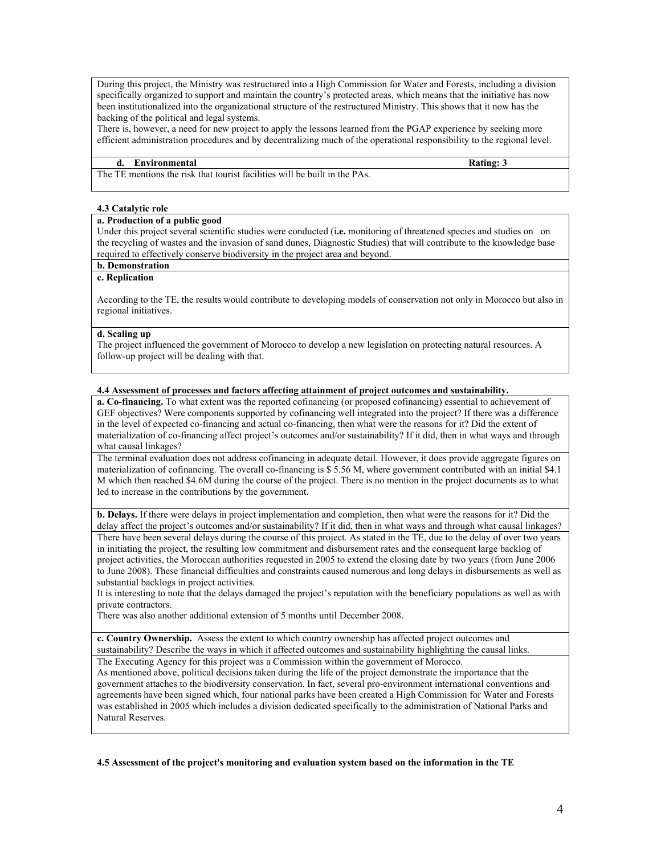During this project, the Ministry was restructured into a High Commission for Water and Forests, including a division specifically organized to support and maintain the country's protected areas, which means that the initiative has now been institutionalized into the organizational structure of the restructured Ministry. This shows that it now has the backing of the political and legal systems.

There is, however, a need for new project to apply the lessons learned from the PGAP experience by seeking more efficient administration procedures and by decentralizing much of the operational responsibility to the regional level.

### **d. Environmental Rating: 3**

The TE mentions the risk that tourist facilities will be built in the PAs.

### **4.3 Catalytic role**

# **a. Production of a public good**

Under this project several scientific studies were conducted (i**.e.** monitoring of threatened species and studies on on the recycling of wastes and the invasion of sand dunes, Diagnostic Studies) that will contribute to the knowledge base required to effectively conserve biodiversity in the project area and beyond.

# **b. Demonstration**

# **c. Replication**

According to the TE, the results would contribute to developing models of conservation not only in Morocco but also in regional initiatives.

### **d. Scaling up**

The project influenced the government of Morocco to develop a new legislation on protecting natural resources. A follow-up project will be dealing with that.

### **4.4 Assessment of processes and factors affecting attainment of project outcomes and sustainability.**

**a. Co-financing.** To what extent was the reported cofinancing (or proposed cofinancing) essential to achievement of GEF objectives? Were components supported by cofinancing well integrated into the project? If there was a difference in the level of expected co-financing and actual co-financing, then what were the reasons for it? Did the extent of materialization of co-financing affect project's outcomes and/or sustainability? If it did, then in what ways and through what causal linkages?

The terminal evaluation does not address cofinancing in adequate detail. However, it does provide aggregate figures on materialization of cofinancing. The overall co-financing is \$ 5.56 M, where government contributed with an initial \$4.1 M which then reached \$4.6M during the course of the project. There is no mention in the project documents as to what led to increase in the contributions by the government.

**b. Delays.** If there were delays in project implementation and completion, then what were the reasons for it? Did the delay affect the project's outcomes and/or sustainability? If it did, then in what ways and through what causal linkages?

There have been several delays during the course of this project. As stated in the TE, due to the delay of over two years in initiating the project, the resulting low commitment and disbursement rates and the consequent large backlog of project activities, the Moroccan authorities requested in 2005 to extend the closing date by two years (from June 2006 to June 2008). These financial difficulties and constraints caused numerous and long delays in disbursements as well as substantial backlogs in project activities.

It is interesting to note that the delays damaged the project's reputation with the beneficiary populations as well as with private contractors.

There was also another additional extension of 5 months until December 2008.

**c. Country Ownership.** Assess the extent to which country ownership has affected project outcomes and sustainability? Describe the ways in which it affected outcomes and sustainability highlighting the causal links.

The Executing Agency for this project was a Commission within the government of Morocco.

As mentioned above, political decisions taken during the life of the project demonstrate the importance that the government attaches to the biodiversity conservation. In fact, several pro-environment international conventions and agreements have been signed which, four national parks have been created a High Commission for Water and Forests was established in 2005 which includes a division dedicated specifically to the administration of National Parks and Natural Reserves.

### **4.5 Assessment of the project's monitoring and evaluation system based on the information in the TE**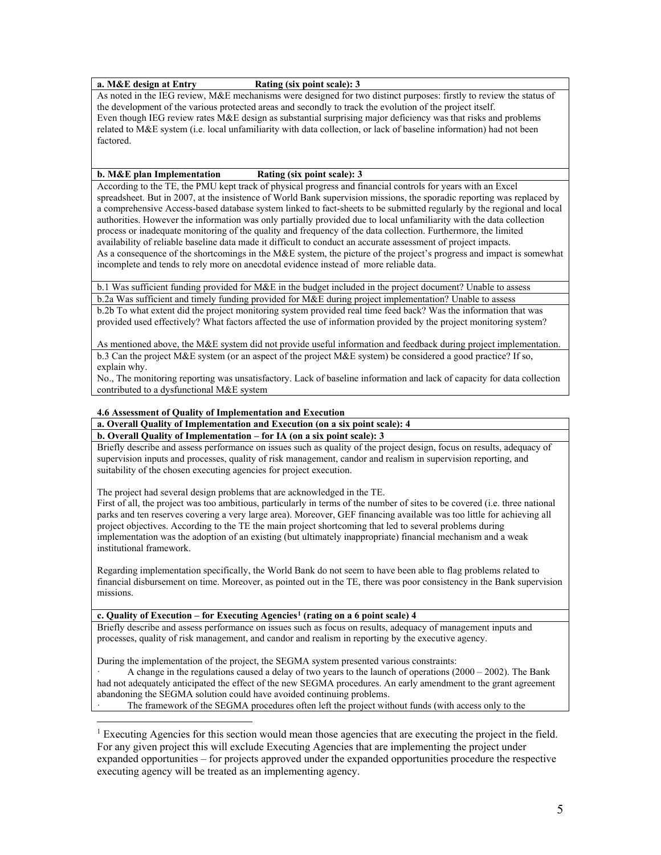# **a. M&E design at Entry Rating (six point scale): 3**

As noted in the IEG review, M&E mechanisms were designed for two distinct purposes: firstly to review the status of the development of the various protected areas and secondly to track the evolution of the project itself. Even though IEG review rates M&E design as substantial surprising major deficiency was that risks and problems related to M&E system (i.e. local unfamiliarity with data collection, or lack of baseline information) had not been factored.

### **b. M&E plan Implementation Rating (six point scale): 3**

According to the TE, the PMU kept track of physical progress and financial controls for years with an Excel spreadsheet. But in 2007, at the insistence of World Bank supervision missions, the sporadic reporting was replaced by a comprehensive Access-based database system linked to fact-sheets to be submitted regularly by the regional and local authorities. However the information was only partially provided due to local unfamiliarity with the data collection process or inadequate monitoring of the quality and frequency of the data collection. Furthermore, the limited availability of reliable baseline data made it difficult to conduct an accurate assessment of project impacts. As a consequence of the shortcomings in the M&E system, the picture of the project's progress and impact is somewhat incomplete and tends to rely more on anecdotal evidence instead of more reliable data.

b.1 Was sufficient funding provided for M&E in the budget included in the project document? Unable to assess

b.2a Was sufficient and timely funding provided for M&E during project implementation? Unable to assess b.2b To what extent did the project monitoring system provided real time feed back? Was the information that was provided used effectively? What factors affected the use of information provided by the project monitoring system?

As mentioned above, the M&E system did not provide useful information and feedback during project implementation. b.3 Can the project M&E system (or an aspect of the project M&E system) be considered a good practice? If so, explain why.

No., The monitoring reporting was unsatisfactory. Lack of baseline information and lack of capacity for data collection contributed to a dysfunctional M&E system

# **4.6 Assessment of Quality of Implementation and Execution**

**a. Overall Quality of Implementation and Execution (on a six point scale): 4**

**b. Overall Quality of Implementation – for IA (on a six point scale): 3**

Briefly describe and assess performance on issues such as quality of the project design, focus on results, adequacy of supervision inputs and processes, quality of risk management, candor and realism in supervision reporting, and suitability of the chosen executing agencies for project execution.

The project had several design problems that are acknowledged in the TE.

First of all, the project was too ambitious, particularly in terms of the number of sites to be covered (i.e. three national parks and ten reserves covering a very large area). Moreover, GEF financing available was too little for achieving all project objectives. According to the TE the main project shortcoming that led to several problems during implementation was the adoption of an existing (but ultimately inappropriate) financial mechanism and a weak institutional framework.

Regarding implementation specifically, the World Bank do not seem to have been able to flag problems related to financial disbursement on time. Moreover, as pointed out in the TE, there was poor consistency in the Bank supervision missions.

### **c. Quality of Execution – for Executing Agencies[1](#page-4-0) (rating on a 6 point scale) 4**

Briefly describe and assess performance on issues such as focus on results, adequacy of management inputs and processes, quality of risk management, and candor and realism in reporting by the executive agency.

During the implementation of the project, the SEGMA system presented various constraints:

· A change in the regulations caused a delay of two years to the launch of operations (2000 – 2002). The Bank had not adequately anticipated the effect of the new SEGMA procedures. An early amendment to the grant agreement abandoning the SEGMA solution could have avoided continuing problems. The framework of the SEGMA procedures often left the project without funds (with access only to the

<span id="page-4-0"></span> $\overline{a}$ <sup>1</sup> Executing Agencies for this section would mean those agencies that are executing the project in the field. For any given project this will exclude Executing Agencies that are implementing the project under expanded opportunities – for projects approved under the expanded opportunities procedure the respective executing agency will be treated as an implementing agency.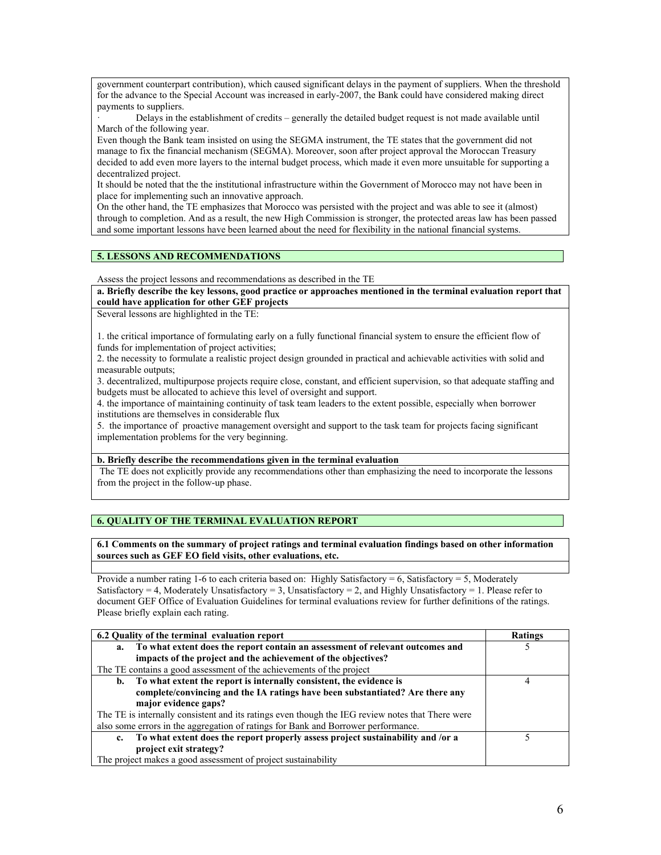government counterpart contribution), which caused significant delays in the payment of suppliers. When the threshold for the advance to the Special Account was increased in early-2007, the Bank could have considered making direct payments to suppliers.

· Delays in the establishment of credits – generally the detailed budget request is not made available until March of the following year.

Even though the Bank team insisted on using the SEGMA instrument, the TE states that the government did not manage to fix the financial mechanism (SEGMA). Moreover, soon after project approval the Moroccan Treasury decided to add even more layers to the internal budget process, which made it even more unsuitable for supporting a decentralized project.

It should be noted that the the institutional infrastructure within the Government of Morocco may not have been in place for implementing such an innovative approach.

On the other hand, the TE emphasizes that Morocco was persisted with the project and was able to see it (almost) through to completion. And as a result, the new High Commission is stronger, the protected areas law has been passed and some important lessons have been learned about the need for flexibility in the national financial systems.

### **5. LESSONS AND RECOMMENDATIONS**

Assess the project lessons and recommendations as described in the TE

**a. Briefly describe the key lessons, good practice or approaches mentioned in the terminal evaluation report that could have application for other GEF projects**

Several lessons are highlighted in the TE:

1. the critical importance of formulating early on a fully functional financial system to ensure the efficient flow of funds for implementation of project activities;

2. the necessity to formulate a realistic project design grounded in practical and achievable activities with solid and measurable outputs;

3. decentralized, multipurpose projects require close, constant, and efficient supervision, so that adequate staffing and budgets must be allocated to achieve this level of oversight and support.

4. the importance of maintaining continuity of task team leaders to the extent possible, especially when borrower institutions are themselves in considerable flux

5. the importance of proactive management oversight and support to the task team for projects facing significant implementation problems for the very beginning.

### **b. Briefly describe the recommendations given in the terminal evaluation**

The TE does not explicitly provide any recommendations other than emphasizing the need to incorporate the lessons from the project in the follow-up phase.

# **6. QUALITY OF THE TERMINAL EVALUATION REPORT**

**6.1 Comments on the summary of project ratings and terminal evaluation findings based on other information sources such as GEF EO field visits, other evaluations, etc.** 

Provide a number rating 1-6 to each criteria based on: Highly Satisfactory = 6, Satisfactory = 5, Moderately Satisfactory = 4, Moderately Unsatisfactory = 3, Unsatisfactory = 2, and Highly Unsatisfactory = 1. Please refer to document GEF Office of Evaluation Guidelines for terminal evaluations review for further definitions of the ratings. Please briefly explain each rating.

| 6.2 Quality of the terminal evaluation report                                                    | Ratings |
|--------------------------------------------------------------------------------------------------|---------|
| To what extent does the report contain an assessment of relevant outcomes and<br>a.              |         |
| impacts of the project and the achievement of the objectives?                                    |         |
| The TE contains a good assessment of the achievements of the project                             |         |
| To what extent the report is internally consistent, the evidence is<br>b.                        |         |
| complete/convincing and the IA ratings have been substantiated? Are there any                    |         |
| major evidence gaps?                                                                             |         |
| The TE is internally consistent and its ratings even though the IEG review notes that There were |         |
| also some errors in the aggregation of ratings for Bank and Borrower performance.                |         |
| To what extent does the report properly assess project sustainability and /or a<br>$c_{\cdot}$   |         |
| project exit strategy?                                                                           |         |
| The project makes a good assessment of project sustainability                                    |         |